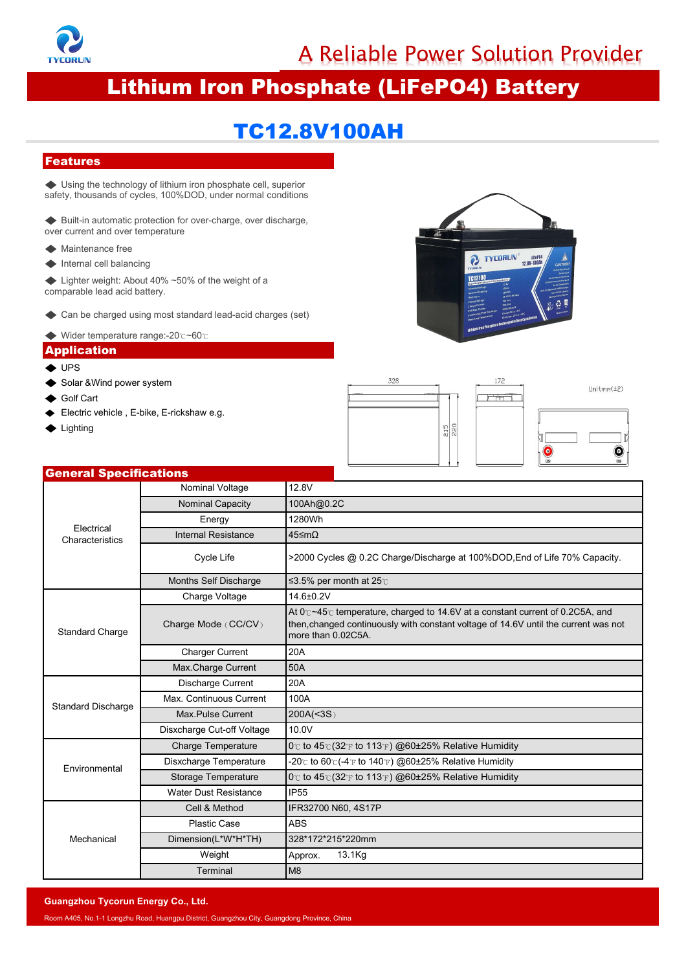

A Reliable Power Solution Provider<br>sphate (LiFePO4) Battery<br>8V100AH

# A Reliable Power Solution Provider<br>
Lithium Iron Phosphate (LiFePO4) Battery<br>
TC12.8V100AH → **Lithium Iron Phosphate (Li**<br> **Features**<br>
→ Using the technology of lithium iron phosphate cell, superior<br>
<br>
Stafety, thousands of cycles, 100%DOD, under normal conditions<br>
→ Built-in automatic protection for over-charg Safety, thousands of cycles, 100%DOD, under normal conditions<br>  $\leftarrow$  Built-in automatic protection for over-charge, over discharge,<br>over current and over temperature

# TC12.8V100AH

## Features

**EITHIUM ITON PHOSPHATE (LI<br>
Features**<br>
◆ Using the technology of lithium iron phosphate cell, superior<br>
safety, thousands of cycles, 100%DOD, under normal conditions<br>
◆ Built-in automatic protection for over-charge, over **Features**<br>
Subsing the technology of lithium iron phosphate cell, superately, thousands of cycles, 100%DOD, under normal contraction of the Built-<br>
Suilt-in automatic protection for over-charge, over discover current and Features<br>← Using the technology of lithium iron phosphate c<br>safety, thousands of cycles, 100%DOD, under norm<br>← Built-in automatic protection for over-charge, over<br>over current and over temperature<br>← Maintenance free<br>← Int Features<br>
◆ Using the technology of lithium iron phosphate<br>
safety, thousands of cycles, 100%DOD, under nor<br>
◆ Built-in automatic protection for over-charge, o<br>
over current and over temperature<br>
◆ Maintenance free<br>
◆ Int ◆ Using the technology of lithium iron phosphate cell, superior<br>
safety, thousands of cycles, 100%DOD, under normal conditions<br>
◆ Built-in automatic protection for over-charge, over discharge,<br>
over current and over tempe **Features**<br>  $\blacktriangleright$  Using the technology of lithium iron phosphate cell, safety, thousands of cycles, 100%DOD, under normal co<br>  $\blacktriangleright$  Built-in automatic protection for over-charge, over dis<br>
over current and over temper ◆ Using the technology of lithium iron phosphate cell, superior<br>safety, thousands of cycles, 100%DOD, under normal conditions<br>◆ Built-in automatic protection for over-charge, over discharge,<br>over current and over temperat

◆ Built-in automatic protection for over-charge, over discharge,<br>
over current and over temperature<br>
◆ Maintenance free<br>
◆ Internal cell balancing<br>
← Lighter weight: About 40% ~50% of the weight of a<br>
comparable lead acid

- 
- 
- ◆ Maintenance free<br>
◆ Internal cell balancing<br>
◆ Lighter weight: About 40% ~50% of the weight of a<br>
comparable lead acid battery.<br>
◆ Can be charged using most standard lead-acid charges (set)<br>
◆ Wider temperature range:-2  $\blacktriangleright$  Internal cell balancing<br>  $\blacktriangleright$  Lighter weight: About 40% ~50% of the w<br>
comparable lead acid battery.<br>  $\blacktriangleright$  Can be charged using most standard lead<br>  $\blacktriangleright$  Wider temperature range:-20°c~60°c<br>  $\blacktriangle$  Pplicatio ◆ Lighter weight: About 40% ~50% of the weight of a<br>
comparable lead acid battery.<br>
◆ Can be charged using most standard lead-acid charges (set)<br>
◆ Wider temperature range:-20°c~60°c<br>
◆ Wider temperature range:-20°c~60°c<br>
- 
- 

### Application

- $\triangle$  UPS
- 
- 
- 
- **◆ Lighting**







# Electrical Electrical **Electrical**<br>Characteristics **Electrical** Example12.8V<br>
S<br>
Nominal Voltage 12.8V<br>
Nominal Capacity 100Ah@0.2C<br>
Energy 1280Wh<br>
ternal Resistance 45 mO Example 28 Alexander Capacity<br>
Nominal Voltage<br>
Nominal Capacity<br>
The Mominal Capacity<br>
Theregy<br>
1280Wh<br>
The 100Ah@0.2C<br>
Energy<br>
1280Wh<br>
1280Wh<br>
The 45≤mΩ Energy 1280Wh Internal Resistance<br>
Internal Resistance<br>
Internal Resistance<br>
Cycle Life<br>
Internal Resistance<br>
Cycle Life<br>
Internal Resistance<br>
Cycle Life<br>
Internal Resistance<br>
Cycle Life<br>
Internal Resistance<br>
Internal Resistance<br>
Int minal Voltage 12.8V<br>
minal Capacity 100Ah@0.2C<br>
Energy 1280Wh<br>
Cycle Life >2000 Cycles @ 0.2C Charge/Discharge at 100%DOD,End of Life 70% Capacity.<br>
S Self Discharge S3.5% per month at 25<sup>c</sup><br>
arge Voltage 14.6±0.2V Mominal Voltage 12.8V<br>
Nominal Capacity 100Ah@0.2C<br>
Energy 1280Wh<br>
Internal Resistance 45≤mΩ<br>
Cycle Life >2000 Cycles @ 0.2C Charge/Discharge at 100%DOD,E<br>
Months Self Discharge ≤3.5% per month at 25℃<br>
Charge Voltage 14. Electrical<br>
Electrical<br>
Characteristics<br>
Cycle Life<br>
Months Self Disc<br>
Charge Volta<br>
Standard Charge<br>
Charge Mode (Charge Turre<br>
Charge Turre<br>
Max.Charge Curre<br>
Max.Charge Curre<br>
Max.Charge Curre<br>
Charge Curre<br>
Charge Curr S<br>
Nominal Voltage 12.8V<br>
dominal Capacity 100Ah@0.2C<br>
Energy 1280Wh<br>
ternal Resistance 45≤mΩ<br>
Cycle Life >2000 Cycles @ 0.2C Charge/Discharg<br>
nths Self Discharge ≤3.5% per month at 25℃<br>
Charge Voltage 14.6±0.2V<br>
At 0℃~4 Norlinal Voltage<br>
Mominal Capacity<br>
Energy<br>
Cycle Life 32000 Cycles @ 0.2C Cha<br>
Months Self Discharge 53.5% per month at 25°C<br>
Charge Voltage 14.6±0.2V<br>
Charge Mode (CC/CV)<br>
At 0°c ~45°C temperature, cl<br>
Charge Mode (CC/C 12.8V<br>
100Ah@0.2C<br>
1280Wh<br>
45≤mΩ<br>
>2000 Cycles @ 0.2C Charge/Discharge at 100%DOD,End of Life 70% Capacity.<br>
≤3.5% per month at 25<sub>℃</sub><br>
14.6±0.2V<br>
At 0 $c$ ~45 $c$  temperature, charged to 14.6V at a constant current of 0.2C5 12.6V<br>100Ah@0.2C<br>45≤mΩ<br>2000 Cycles @ 0.2C Charge/Discharge at 100%DOD,End of Life 70% Capacity.<br>53.5% per month at 25℃<br>14.6±0.2V<br>At 0°c~45°c temperature, charged to 14.6V at a constant current of 0.2C5A, and<br>then,changed 100Ah@0.2C<br>
1280Wh<br>
45≤mΩ<br>
>2000 Cycles @ 0.2C Charge/Discharge at 1<br>
≤3.5% per month at 25℃<br>
14.6±0.2V<br>
At 0℃~45℃ temperature, charged to 14.6V at<br>
then, changed continuously with constant volt<br>
more than 0.02C5A.<br>
20A<br> Energy<br>
1280Wh<br>
ternal Resistance<br>
Cycle Life<br>
2000 Cycles @ 0.2C Charge/Di<br>
nths Self Discharge<br>
S3.5% per month at 25°C<br>
Charge Voltage<br>
14.6±0.2V<br>
At 0°c ~45°c temperature, charged<br>
Then, charged continuously with a<br>
m Internal Resistance<br>
Cycle Life  $\rightarrow$  2000 Cycles @ 0.2C Charge/Di<br>
Months Self Discharge  $\leq$  3.5% per month at 25°C<br>
Charge Voltage  $\leq$  14.6±0.2V<br>
At 0°c ~45°c temperature, charge<br>
narge Mode (CC/CV)<br>
At 0°c ~45°c tem Months Self Dis<br>
Charge Volt<br>
Charge Mode ((<br>
Charge Mode ((<br>
Charge Cura<br>
Max.Charge Cura<br>
Max.Continuous<br>
Max.Pulse Cura<br>
Discharge Cut-o<br>
Charge Tempe Cycle Life <br>  $\begin{array}{r|l}\n\text{So, 2C} \end{array}$ <br>  $\begin{array}{r|l}\n\text{On this Self Discharge} & \text{S3.5\% per month at } 25^\circ \text{.}\n\end{array}$ <br>  $\begin{array}{r|l}\n\text{Charge Voltage} & \text{14.6\pm0.2V} \\
\hline\n\text{14.6\pm0.2V} & \text{At } 0^\circ \text{~45\% temperature, charge} \\
\hline\n\text{4t } 0^\circ \text{~45\% temperature, charge} & \text{the n, changed continuously with a more than 0.02C5A.}\n\end$ Months Self Discharge<br>
Charge Voltage<br>
Charge Voltage<br>
Charge Mode (CC/CV)<br>
At 0c-45c temperature, charged<br>
At 0c-45c temperature, charged<br>
At 0c-45c temperature, charged<br>
Max.Charge Current<br>
Max.Continuous Current<br>
Max.Co onths Self Discharge<br>
Charge Voltage<br>  $44.6\pm0.2\sqrt{2}$ <br>
At 0°c ~45°c temperature, charged to 14.6V at<br>
arge Mode (CC/CV)<br>
then, changed continuously with constant volt<br>
more than 0.02C5A.<br>
Charger Current<br>
200A<br>
Discharge Charge Voltage<br>
At  $0^\circ$  -45°c temperature, charged the Charge Mode (CC/CV)<br>
At  $0^\circ$  -45°c temperature, charged the methan 0.02C5A.<br>
Charger Current 20A<br>
Max. Charge Current 20A<br>
Max. Continuous Current 100A<br>
Max. Pulse Environmental Marge Mode (CC/CV)<br>
At 0°c~45°c temperature, charged to 14.6V at a constant current of 0.2C5A, and<br>
then,changed continuously with constant voltage of 14.6V until the current was no<br>
Charge Current 20A<br>
Max. Charge Curren Charger Curcy and CCCCV methan 0.02C5A.<br>
more than 0.02C5A.<br>
Max. Charger Current 20A<br>
Max. Charger Current 200A<br>
Max. Charger Current 200A<br>
Max. Continuous Current 200A(<3S)<br>
Discharge Current 200A(<3S)<br>
Discharge Curren Charge Current 20A<br>
Max. Charge Current 50A<br>
Discharge Current 20A<br>
Ax. Continuous Current 100A<br>
Max. Pulse Current 200A(<3S)<br>
sxcharge Temperature 0 c to 45 c (32 F to 113 F) @60±25% Relative Humidity<br>
isxcharge Temperat Max.Charge Current 50A<br>
Discharge Current 20A<br>
Max.Continuous Current 100A<br>
Max.Pulse Current 200A(<3S)<br>
Sixcharge Cut-off Voltage 10.0V<br>
Charge Temperature 0 Tc to 45°C (32°F to 113°F) @<br>
Disxcharge Temperature -20°C to Mechanical Subscharge Current<br>
Continuous Current<br>
200A<br>
ax. Pulse Current<br>
200A(<3S)<br>
aarge Cut-off Voltage<br>
10.0V<br>
arge Temperature<br>
0C to 45C(32 Tr to 140 T) @60±25% Relative Huminarge Temperature<br>
20C to 60C(4 Tr to 140 T) @60±2 Continuous Current<br>
200A(<3S)<br>
arge Cut-off Voltage<br>
Temperature<br>
200A(<3S)<br>
arge Temperature<br>
200 to 45 c (32 °F to 113 °F) @60±2<br>
age Temperature<br>
20 c to 60 c (-4 °F to 140 °F) @60±2<br>
age Temperature<br>
20 c to 45 c (32 Dimension(L\*W\*H\*TH) 328\*172\*215\*220mm Weight | Approx. 13.1Kg Terminal M8 Solar Representing Specification<br>
Solar Representing Specification<br>
Only and the Solar AWind power system<br>
Solar AWind power system<br>
Solar AWind power system<br>
Solar AWind power system<br>
Color Carticle , E-bike, E-rickshaw

Room A405, No.1-1 Longzhu Road, Huangpu District, Guangzhou City, Guangdong Province, China